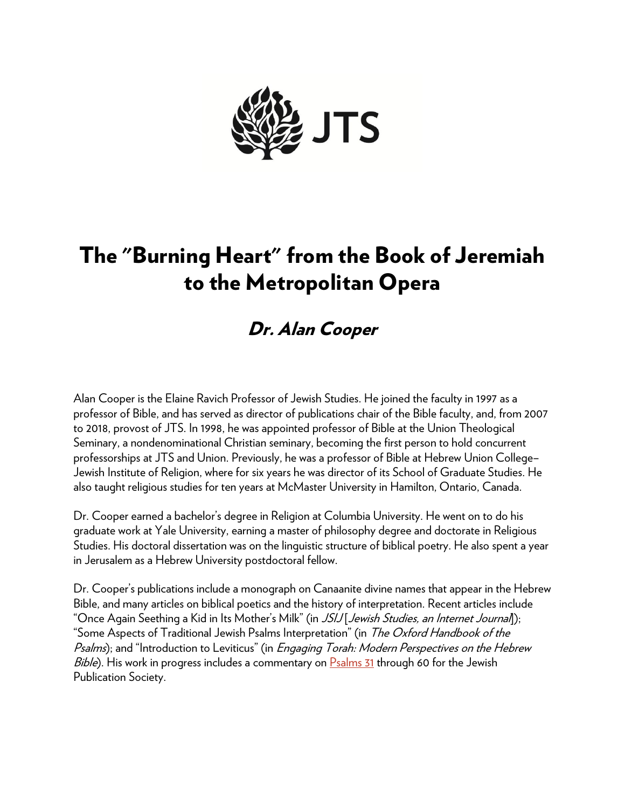

# The "Burning Heart" from the Book of Jeremiah to the Metropolitan Opera

## Dr. Alan Cooper

Alan Cooper is the Elaine Ravich Professor of Jewish Studies. He joined the faculty in 1997 as a professor of Bible, and has served as director of publications chair of the Bible faculty, and, from 2007 to 2018, provost of JTS. In 1998, he was appointed professor of Bible at the Union Theological Seminary, a nondenominational Christian seminary, becoming the first person to hold concurrent professorships at JTS and Union. Previously, he was a professor of Bible at Hebrew Union College– Jewish Institute of Religion, where for six years he was director of its School of Graduate Studies. He also taught religious studies for ten years at McMaster University in Hamilton, Ontario, Canada.

Dr. Cooper earned a bachelor's degree in Religion at Columbia University. He went on to do his graduate work at Yale University, earning a master of philosophy degree and doctorate in Religious Studies. His doctoral dissertation was on the linguistic structure of biblical poetry. He also spent a year in Jerusalem as a Hebrew University postdoctoral fellow.

Dr. Cooper's publications include a monograph on Canaanite divine names that appear in the Hebrew Bible, and many articles on biblical poetics and the history of interpretation. Recent articles include "Once Again Seething a Kid in Its Mother's Milk" (in JSIJ [Jewish Studies, an Internet Journal]); "Some Aspects of Traditional Jewish Psalms Interpretation" (in The Oxford Handbook of the Psalms); and "Introduction to Leviticus" (in *Engaging Torah: Modern Perspectives on the Hebrew* Bible). His work in progress includes a commentary on [Psalms 31](https://www.sefaria.org/Psalms.31?lang=he-en&utm_source=jtsa.edu&utm_medium=sefaria_linker) through 60 for the Jewish Publication Society.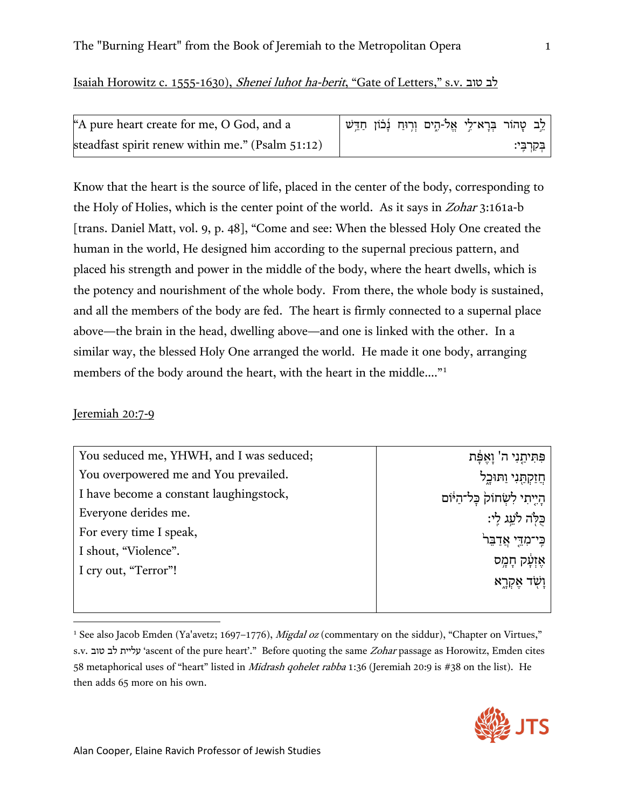### Isaiah Horowitz c. 1555-1630), Shenei luhot ha-berit, "Gate of Letters," s.v. לב

| A pure heart create for me, O God, and a         |  | לֵב טָהוֹר בְּרָא־לֵי אֱל-הֶים וְרִוּחַ נְבֹוֹן חַדֵּשׁ |  |              |
|--------------------------------------------------|--|---------------------------------------------------------|--|--------------|
| steadfast spirit renew within me." (Psalm 51:12) |  |                                                         |  | ּבִקְרִבֵּי: |

Know that the heart is the source of life, placed in the center of the body, corresponding to the Holy of Holies, which is the center point of the world. As it says in Zohar 3:161a-b [trans. Daniel Matt, vol. 9, p. 48], "Come and see: When the blessed Holy One created the human in the world, He designed him according to the supernal precious pattern, and placed his strength and power in the middle of the body, where the heart dwells, which is the potency and nourishment of the whole body. From there, the whole body is sustained, and all the members of the body are fed. The heart is firmly connected to a supernal place above—the brain in the head, dwelling above—and one is linked with the other. In a similar way, the blessed Holy One arranged the world. He made it one body, arranging members of the body around the heart, with the heart in the middle...."<sup>[1](#page-1-0)</sup>

#### Jeremiah 20:7-9

| You seduced me, YHWH, and I was seduced; | פִּתְּיתֲנִי ה' וָאֵפֶּת          |
|------------------------------------------|-----------------------------------|
| You overpowered me and You prevailed.    | ּחֲזַקְתְַּנִי וַתּוּכֵל          |
| I have become a constant laughingstock,  | הָיֶיְתִי לִשְׂחוֹק בָּל־הַיּּוֹם |
| Everyone derides me.                     | כֵּלְה לֹעֱג לֵי:                 |
| For every time I speak,                  | כִּי־מְדֵי אֲדַבֵּר               |
| I shout, "Violence".                     | אֵזְעָ֫ק חָמֶס                    |
| I cry out, "Terror"!                     |                                   |
|                                          | ַוַשְׁד אֶקְרֶא                   |

<span id="page-1-0"></span><sup>1</sup> See also Jacob Emden (Ya'avetz; 1697–1776), *Migdal oz* (commentary on the siddur), "Chapter on Virtues," s.v. טוב לב עליית' ascent of the pure heart'." Before quoting the same Zohar passage as Horowitz, Emden cites 58 metaphorical uses of "heart" listed in *Midrash qohelet rabba* 1:36 (Jeremiah 20:9 is #38 on the list). He then adds 65 more on his own.

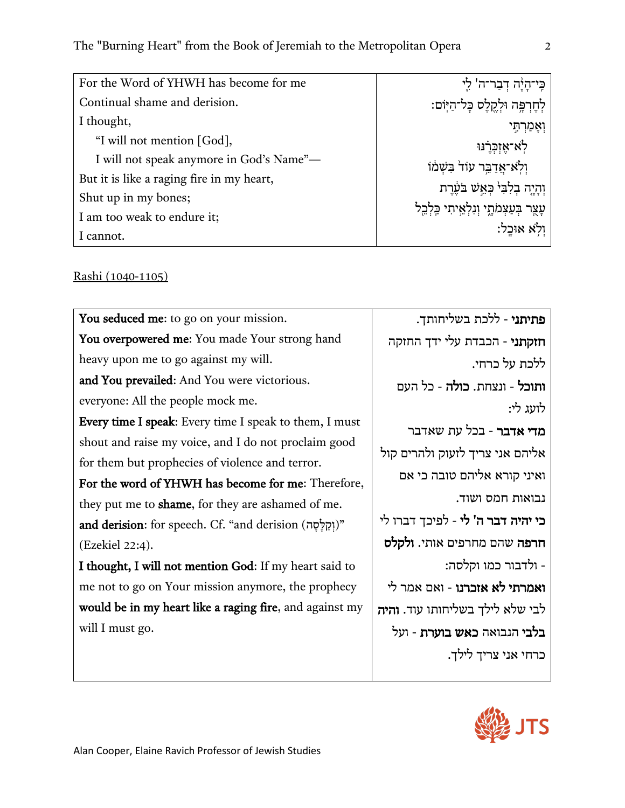| For the Word of YHWH has become for me    | ּבִּי־הָיָ֫ה דִבַר־ה' לֵי                |
|-------------------------------------------|------------------------------------------|
| Continual shame and derision.             | לְחֶרְפֶּה וּלְקֵלֶס כָּל־הַיּוֹם:       |
| I thought,                                | וְאָמַרְתִּי                             |
| "I will not mention [God],                | לְא־אֵזְכְרֵנוּ                          |
| I will not speak anymore in God's Name"-  | וְלָא אֲדַבֵּר עוֹד בִּשְׁמוֹ            |
| But it is like a raging fire in my heart, | וִהָיֶה בִלְבִּי כִּאֲשׁ בֹּעֲרֵת        |
| Shut up in my bones;                      |                                          |
| I am too weak to endure it;               | עָצֶר בִּעַצְמֹתָי וִנְלְאֵיתִי כֵּלְבֵל |
| I cannot.                                 | וִלְא אוּכֵל:                            |

## Rashi (1040-1105)

| You seduced me: to go on your mission.                        | פתיתני - ללכת בשליחותך.                    |
|---------------------------------------------------------------|--------------------------------------------|
| You overpowered me: You made Your strong hand                 | חזקתני - הכבדת עלי ידך החזקה               |
| heavy upon me to go against my will.                          | ללכת על כרחי.                              |
| and You prevailed: And You were victorious.                   | <b>ותוכל -</b> ונצחת. <b>כולה -</b> כל העם |
| everyone: All the people mock me.                             | לועג לי:                                   |
| <b>Every time I speak:</b> Every time I speak to them, I must |                                            |
| shout and raise my voice, and I do not proclaim good          | מדי אדבר - בכל עת שאדבר                    |
| for them but prophecies of violence and terror.               | אליהם אני צריך לזעוק ולהרים קול            |
|                                                               | ואיני קורא אליהם טובה כי אם                |
| For the word of YHWH has become for me: Therefore,            |                                            |
| they put me to <b>shame</b> , for they are ashamed of me.     | נבואות חמס ושוד.                           |
| and derision: for speech. Cf. "and derision (וְקַלָּסָה)"     | כי יהיה דבר ה' לי - לפיכך דברו לי          |
| (Ezekiel 22:4).                                               | חרפה שהם מחרפים אותי. ולקלס                |
| I thought, I will not mention God: If my heart said to        | - ולדבור כמו וקלסה:                        |
| me not to go on Your mission anymore, the prophecy            | ואמרתי לא אזכרנו - ואם אמר לי              |
| would be in my heart like a raging fire, and against my       | לבי שלא לילך בשליחותו עוד. והיה            |
| will I must go.                                               | בלבי הנבואה כאש בוערת - ועל                |
|                                                               | כרחי אני צריך לילך.                        |

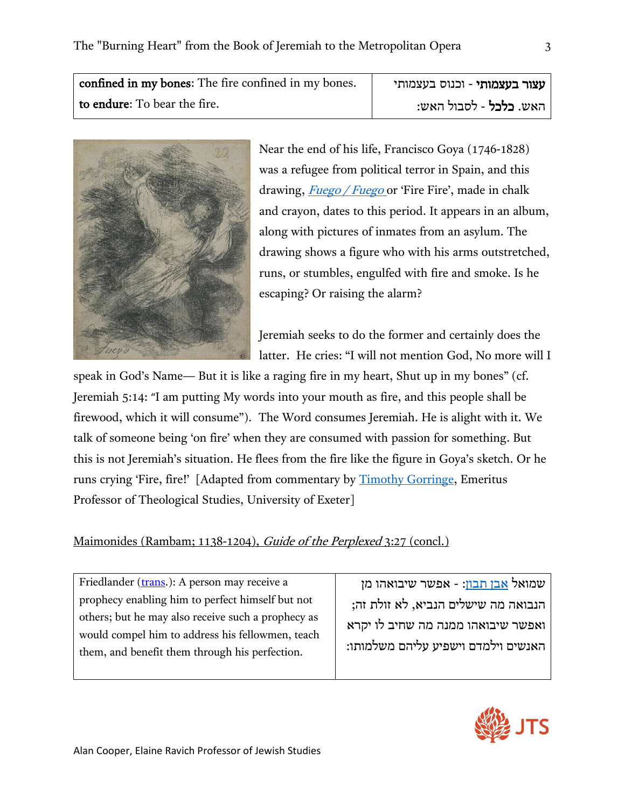| confined in my bones: The fire confined in my bones. | עצור בעצמותי - וכנוס בעצמותי  |
|------------------------------------------------------|-------------------------------|
| to endure: To bear the fire.                         | האש. <b>כלכל</b> - לסבול האש: |



Near the end of his life, Francisco Goya (1746-1828) was a refugee from political terror in Spain, and this drawing, *[Fuego / Fuego](https://upload.wikimedia.org/wikipedia/commons/f/f5/Goya_-_%27Fuego_Fuego%27_%28%27Au_feu_%21_Au_feu_%21%27%29%2C_RF_38975%2C_Recto.jpg)* or 'Fire Fire', made in chalk and crayon, dates to this period. It appears in an album, along with pictures of inmates from an asylum. The drawing shows a figure who with his arms outstretched, runs, or stumbles, engulfed with fire and smoke. Is he escaping? Or raising the alarm?

Jeremiah seeks to do the former and certainly does the latter. He cries: "I will not mention God, No more will I

speak in God's Name— But it is like a raging fire in my heart, Shut up in my bones" (cf. Jeremiah 5:14: "I am putting My words into your mouth as fire, and this people shall be firewood, which it will consume"). The Word consumes Jeremiah. He is alight with it. We talk of someone being 'on fire' when they are consumed with passion for something. But this is not Jeremiah's situation. He flees from the fire like the figure in Goya's sketch. Or he runs crying 'Fire, fire!' [Adapted from commentary by **Timothy Gorringe**, Emeritus Professor of Theological Studies, University of Exeter]

## Maimonides (Rambam; 1138-1204), Guide of the Perplexed 3:27 (concl.)

Friedlander [\(trans.](https://en.wikisource.org/wiki/The_Guide_for_the_Perplexed_(1904))): A person may receive a prophecy enabling him to perfect himself but not others; but he may also receive such a prophecy as would compel him to address his fellowmen, teach them, and benefit them through his perfection.

שמואל [אבן תבון](https://plato.stanford.edu/entries/tibbon/): - אפשר שיבואהו מן הנבואה מה שישלים הנביא, לא זולת זה; ואפשר שיבואהו ממנה מה שחיב לו יקרא האנשים וילמדם וישפיע עליהם משלמותו:

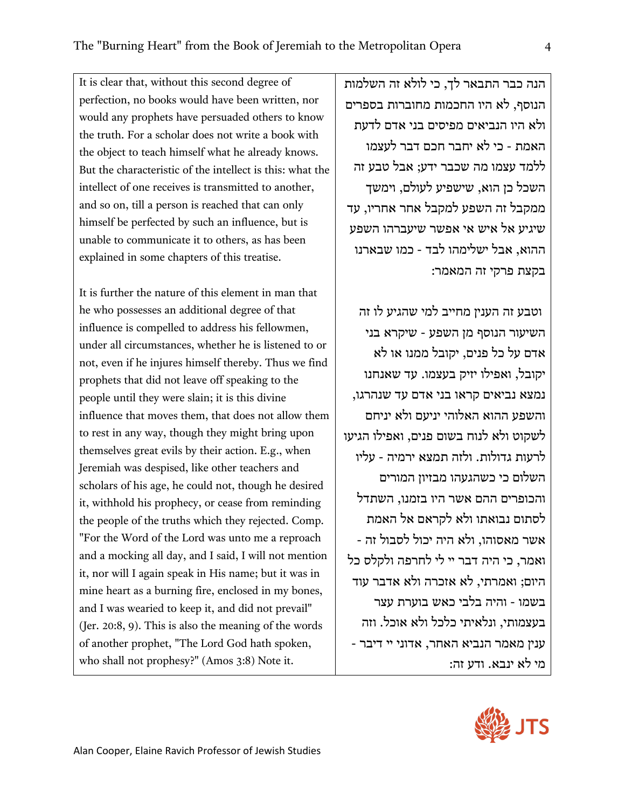It is clear that, without this second degree of perfection, no books would have been written, nor would any prophets have persuaded others to know the truth. For a scholar does not write a book with the object to teach himself what he already knows. But the characteristic of the intellect is this: what the intellect of one receives is transmitted to another, and so on, till a person is reached that can only himself be perfected by such an influence, but is unable to communicate it to others, as has been explained in some chapters of this treatise.

It is further the nature of this element in man that he who possesses an additional degree of that influence is compelled to address his fellowmen, under all circumstances, whether he is listened to or not, even if he injures himself thereby. Thus we find prophets that did not leave off speaking to the people until they were slain; it is this divine influence that moves them, that does not allow them to rest in any way, though they might bring upon themselves great evils by their action. E.g., when Jeremiah was despised, like other teachers and scholars of his age, he could not, though he desired it, withhold his prophecy, or cease from reminding the people of the truths which they rejected. Comp. "For the Word of the Lord was unto me a reproach and a mocking all day, and I said, I will not mention it, nor will I again speak in His name; but it was in mine heart as a burning fire, enclosed in my bones, and I was wearied to keep it, and did not prevail" (Jer. 20:8, 9). This is also the meaning of the words of another prophet, "The Lord God hath spoken, who shall not prophesy?" (Amos 3:8) Note it.

הנה כבר התבאר לך, כי לולא זה השלמות הנוסף, לא היו החכמות מחוברות בספרים ולא היו הנביאים מפיסים בני אדם לדעת האמת - כי לא יחבר חכם דבר לעצמו ללמד עצמו מה שכבר ידע; אבל טבע זה השכל כן הוא, שישפיע לעולם, וימשך ממקבל זה השפע למקבל אחר אחריו, עד שיגיע אל איש אי אפשר שיעברהו השפע ההוא, אבל ישלימהו לבד - כמו שבארנו בקצת פרקי זה המאמר:

וטבע זה הענין מחייב למי שהגיע לו זה השיעור הנוסף מן השפע - שיקרא בני אדם על כל פנים, יקובל ממנו או לא יקובל, ואפילו יזיק בעצמו. עד שאנחנו נמצא נביאים קראו בני אדם עד שנהרגו, והשפע ההוא האלוהי יניעם ולא יניחם לשקוט ולא לנוח בשום פנים, ואפילו הגיעו לרעות גדולות. ולזה תמצא ירמיה - עליו השלום כי כשהגעהו מבזיון המורים והכופרים ההם אשר היו בזמנו, השתדל לסתום נבואתו ולא לקראם אל האמת אשר מאס והו, ולא היה יכול לסבול זה - ואמר, כי היה דבר יי לי לחרפה ולקלס כל היום; ואמרתי, לא אזכרה ולא אדבר עוד בשמו - והיה בלבי כאש בוערת עצר בעצמותי, ונלאיתי כלכל ולא אוכל. וזה ענין מאמר הנביא האחר, אדוני יי דיבר - מי לא ינבא. ודע זה:

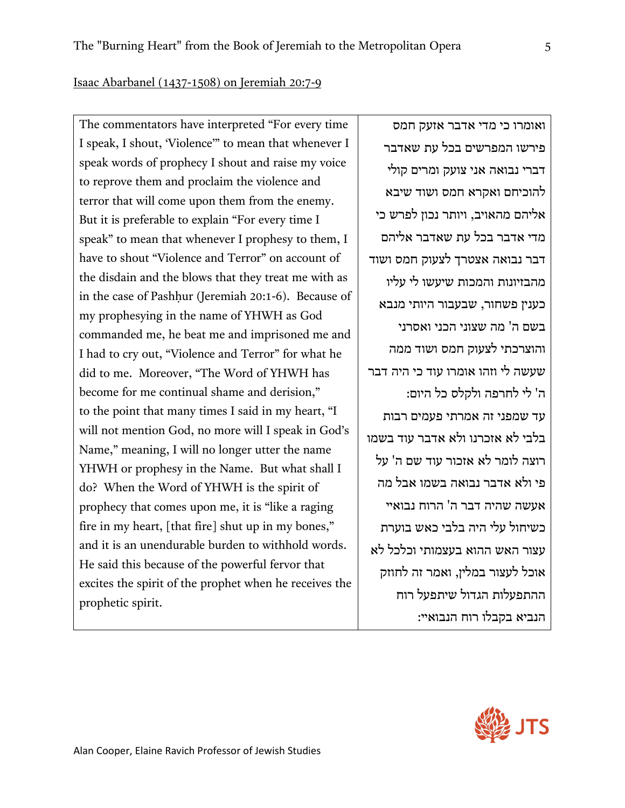Isaac Abarbanel (1437-1508) on Jeremiah 20:7-9

The commentators have interpreted "For every time I speak, I shout, 'Violence'" to mean that whenever I speak words of prophecy I shout and raise my voice to reprove them and proclaim the violence and terror that will come upon them from the enemy. But it is preferable to explain "For every time I speak" to mean that whenever I prophesy to them, I have to shout "Violence and Terror" on account of the disdain and the blows that they treat me with as in the case of Pashhur (Jeremiah 20:1-6). Because of my prophesying in the name of YHWH as God commanded me, he beat me and imprisoned me and I had to cry out, "Violence and Terror" for what he did to me. Moreover, "The Word of YHWH has become for me continual shame and derision," to the point that many times I said in my heart, "I will not mention God, no more will I speak in God's Name," meaning, I will no longer utter the name YHWH or prophesy in the Name. But what shall I do? When the Word of YHWH is the spirit of prophecy that comes upon me, it is "like a raging fire in my heart, [that fire] shut up in my bones," and it is an unendurable burden to withhold words. He said this because of the powerful fervor that excites the spirit of the prophet when he receives the prophetic spirit.

ואומרו כי מדי אדבר אזעק חמס פירשו המפרשים בכל עת שאדבר דברי נבואה אני צועק ומרים קולי להוכיחם ואקרא חמס ושוד שיבא אליהם מהאויב, ויותר נכון לפרש כי מדי אדבר בכל עת שאדבר אליהם דבר נבואה אצטרך לצעוק חמס ושוד מהבזיונות והמכות שיעשו לי עליו כענין פשחור, שבעבור היותי מנבא בשם ה' מה שצוני הכני ואסרני והוצרכתי לצעוק חמס ושוד ממה שעשה לי וזהו אומרו עוד כי היה דבר ה' לי לחרפה ולקלס כל היום: עד שמפני זה אמרתי פעמים רבות בלבי לא אזכרנו ולא אדבר עוד בשמו רוצה לומר לא אזכור עוד שם ה' על פי ולא אדבר נבואה בשמו אבל מה אעשה שהיה דבר ה' הרוח נבואיי כשיחול עלי היה בלבי כאש בוערת עצור האש ההוא בעצמותי וכלכל לא אוכל לעצור במלין, ואמר זה לחוזק ההתפעלות הגדול שיתפעל רוח הנביא בקבלו רוח הנבואיי:

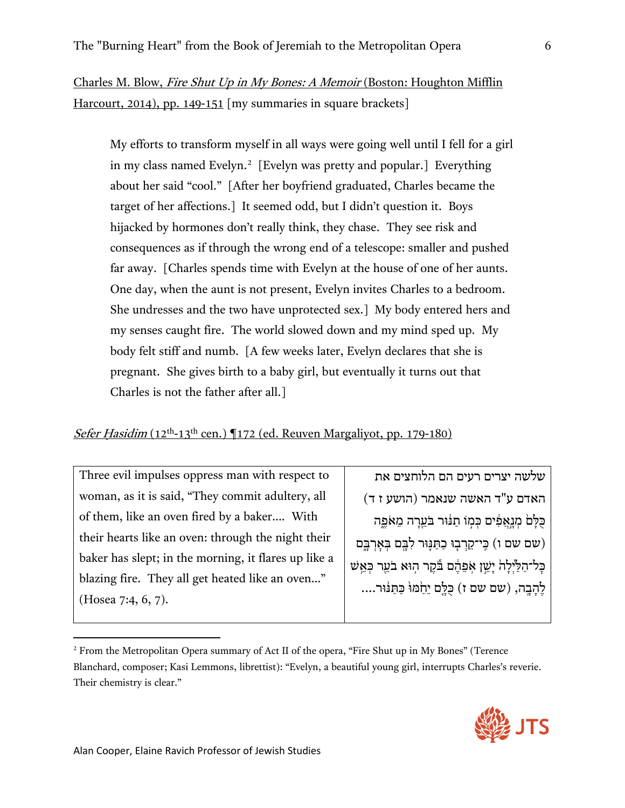Charles M. Blow, Fire Shut Up in My Bones: A Memoir (Boston: Houghton Mifflin Harcourt, 2014), pp. 149-151 [my summaries in square brackets]

My efforts to transform myself in all ways were going well until I fell for a girl in my class named Evelyn.<sup>2</sup> [Evelyn was pretty and popular.] Everything about her said "cool." [After her boyfriend graduated, Charles became the target of her affections.] It seemed odd, but I didn't question it. Boys hijacked by hormones don't really think, they chase. They see risk and consequences as if through the wrong end of a telescope: smaller and pushed far away. [Charles spends time with Evelyn at the house of one of her aunts. One day, when the aunt is not present, Evelyn invites Charles to a bedroom. She undresses and the two have unprotected sex.] My body entered hers and my senses caught fire. The world slowed down and my mind sped up. My body felt stiff and numb. [A few weeks later, Evelyn declares that she is pregnant. She gives birth to a baby girl, but eventually it turns out that Charles is not the father after all.]

## *Sefer Hasidim* ( $12^{th}$ -13<sup>th</sup> cen.) ¶172 (ed. Reuven Margaliyot, pp. 179-180)

Three evil impulses oppress man with respect to woman, as it is said, "They commit adultery, all of them, like an oven fired by a baker…. With their hearts like an oven: through the night their baker has slept; in the morning, it flares up like a blazing fire. They all get heated like an oven…" (Hosea 7:4, 6, 7).

שלשה יצרים רעים הם הלוחצים את האדם ע"ד האשה שנאמר (הושע ז ד) ְכַּלְּםׂ מְנֵאֲפִ֫ים כְּמִוֹ תַנּוּר בֹּעֵרָה מֵאֹפֵה (שם שם ו) כֵּי־קֵרְבְוּ כַתֲנֵּוּר לְבֵּם בְּאַרְבֵּם כַּל־הַלַּיְלָהֹ יָשֵׁן אִפֶּהֶם בֹּקֵר הִוּא בֹעֵר כְּאֵשׁ לֶהָבֶה, (שם שם ז) כָּלֵם יֵחַמּוּּ כַּתַּנּוּר....

<span id="page-6-0"></span><sup>2</sup> From the Metropolitan Opera summary of Act II of the opera, "Fire Shut up in My Bones" (Terence Blanchard, composer; Kasi Lemmons, librettist): "Evelyn, a beautiful young girl, interrupts Charles's reverie. Their chemistry is clear."

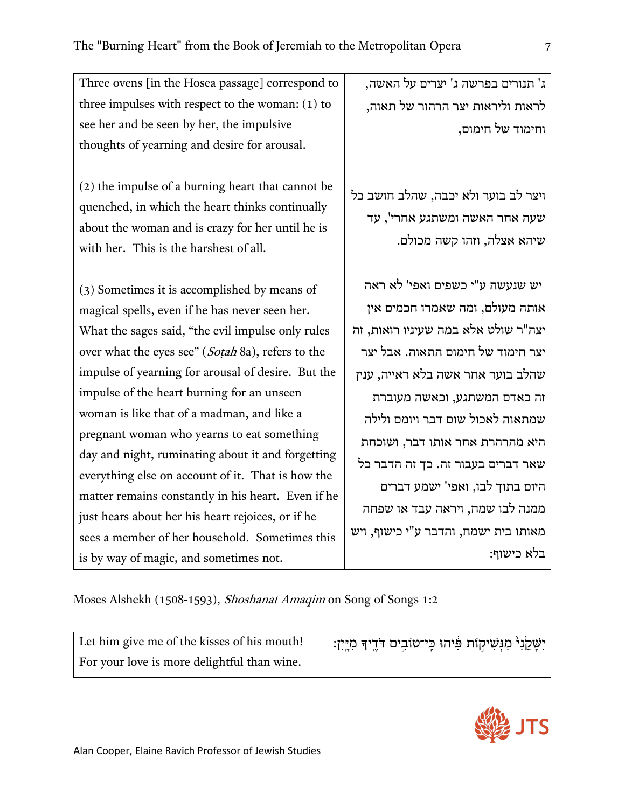Three ovens [in the Hosea passage] correspond to three impulses with respect to the woman: (1) to see her and be seen by her, the impulsive thoughts of yearning and desire for arousal.

(2) the impulse of a burning heart that cannot be quenched, in which the heart thinks continually about the woman and is crazy for her until he is with her. This is the harshest of all.

(3) Sometimes it is accomplished by means of magical spells, even if he has never seen her. What the sages said, "the evil impulse only rules over what the eyes see" (Soṭah 8a), refers to the impulse of yearning for arousal of desire. But the impulse of the heart burning for an unseen woman is like that of a madman, and like a pregnant woman who yearns to eat something day and night, ruminating about it and forgetting everything else on account of it. That is how the matter remains constantly in his heart. Even if he just hears about her his heart rejoices, or if he sees a member of her household. Sometimes this is by way of magic, and sometimes not.

ג' תנורים בפרשה ג' יצרים על האשה, לראות וליראות יצר הרהור של תאוה, וחימוד של חימום,

ויצר לב בוער ולא יכבה, שהלב חושב כל שעה אחר האשה ומשתגע אחרי', עד שיהא אצלה, וזהו קשה מכולם.

יש שנעשה ע"י כשפים ואפי' לא ראה אותה מעולם, ומה שאמרו חכמים אין יצה"ר שולט אלא במה שעיניו רואות, זה יצר חימוד של חימום התאוה. אבל יצר שהלב בוער אחר אשה בלא ראייה, ענין זה כאדם המשתגע, וכאשה מעוברת שמתאוה לאכול שום דבר ויומם ולילה היא מהרהרת אחר אותו דבר, ושוכחת שאר דברים בעבור זה. כך זה הדבר כל היום בתוך לבו, ואפי' ישמע דברים ממנה לבו שמח, ויראה עבד או שפחה מאותו בית ישמח, והדבר ע"י כישוף, ויש בלא כישוף:

## Moses Alshekh (1508-1593), Shoshanat Amaqim on Song of Songs 1:2

Let him give me of the kisses of his mouth! For your love is more delightful than wine.

יִשָּׁקֵ<sup>נְנְ</sup> מִגְּשִׁיקְוֹת פִּ֫יהוּ כִּי־טוֹבְים דֹּדֶיךָ מִיְּיִן:

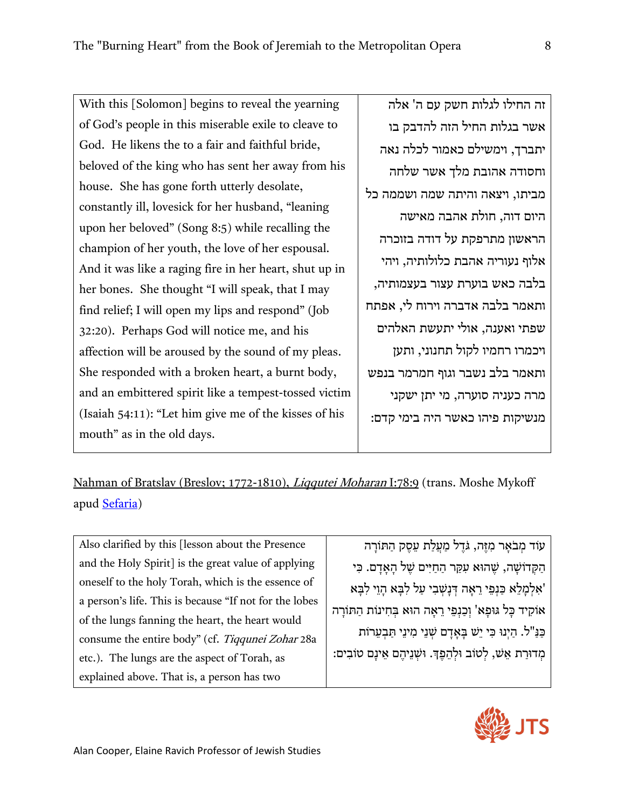With this [Solomon] begins to reveal the yearning of God's people in this miserable exile to cleave to God. He likens the to a fair and faithful bride, beloved of the king who has sent her away from his house. She has gone forth utterly desolate, constantly ill, lovesick for her husband, "leaning upon her beloved" (Song 8:5) while recalling the champion of her youth, the love of her espousal. And it was like a raging fire in her heart, shut up in her bones. She thought "I will speak, that I may find relief; I will open my lips and respond" (Job 32:20). Perhaps God will notice me, and his affection will be aroused by the sound of my pleas. She responded with a broken heart, a burnt body, and an embittered spirit like a tempest-tossed victim (Isaiah 54:11): "Let him give me of the kisses of his mouth" as in the old days.

זה החילו לגלות חשק עם ה' אלה אשר בגלות החיל הזה להדבק בו יתברך, וימשילם כאמור לכלה נאה וחסודה אהובת מלך אשר שלחה מביתו, ויצאה והיתה שמה ושממה כל היום דוה, חולת אהבה מאישה הראשון מתרפקת על דודה בזוכרה אלוף נעוריה אהבת כלולותיה, ויהי בלבה כאש בוערת עצור בעצמותיה, ותאמר בלבה אדברה וירוח לי, אפתח שפתי ואענה, אולי יתעשת האלהים ויכמרו רחמיו לקול תחנוני, ותען ותאמר בלב נשבר וגוף חמרמר בנפש מרה כעניה סוערה, מי יתן ישקני מנשיקות פיהו כאשר היה בימי קדם:

Nahman of Bratslav (Breslov; 1772-1810), *Liqqutei Moharan* I:78:9 (trans. Moshe Mykoff apud [Sefaria\)](https://www.sefaria.org/Likutei_Moharan.78.9.1?ven=Likutey_Moharan_Volumes_1-11,_trans._by_Moshe_Mykoff._Breslov_Research_Inst.,_1986-2012&vhe=Likutei_Moharan_-_rabenubook.com&lang=en&with=About&lang2=en)

Also clarified by this [lesson about the Presence and the Holy Spirit] is the great value of applying oneself to the holy Torah, which is the essence of a person's life. This is because "If not for the lobes of the lungs fanning the heart, the heart would consume the entire body" (cf. Tiqqunei Zohar 28a etc.). The lungs are the aspect of Torah, as explained above. That is, a person has two

ע*וֹד מִבֹאַר מִזֶּה, גֹּדֵל מַעֲלַת עֵסֶק הַתּוֹרָה* הַקְּדוֹשָׁה, שֶׁהוּא עִקַּר הַחַיִּים שֶׁל הַאֲדַם. כִּי 'אִלְמַלֵא כַּנְפֵי רֵאָה דְּנַשְׁבִי עַל לִבָּא הָוֵי לִבָּא אוֹקִיד כָּל גּוּפָא' וְכַנְפֵי רֵאָה הוּא בְּחִינוֹת הַתּוֹרָה כַּ נַּ "ל. הַ יְנוּ כִּ י יֵשׁ בָּ אָ דָ ם שְׁ נֵ י מִ ינֵ י תַּ בְ עֵ רוֹת מְ דוּרַ ת אֵ שׁ, לְ טוֹב וּלְ הֵ פֶ �. וּשְׁ נֵ יהֶ ם אֵ ינָ ם טוֹבִ ים: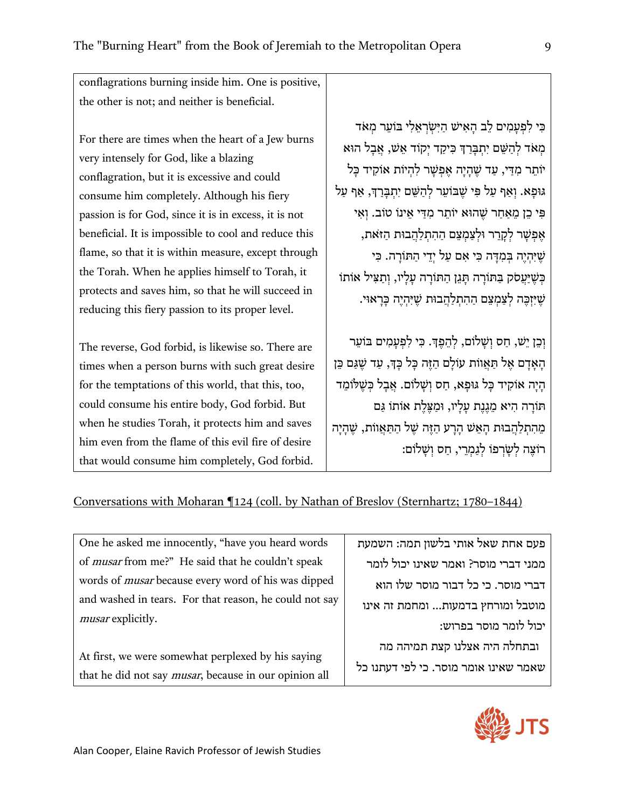conflagrations burning inside him. One is positive, the other is not; and neither is beneficial.

For there are times when the heart of a Jew burns very intensely for God, like a blazing conflagration, but it is excessive and could consume him completely. Although his fiery passion is for God, since it is in excess, it is not beneficial. It is impossible to cool and reduce this flame, so that it is within measure, except through the Torah. When he applies himself to Torah, it protects and saves him, so that he will succeed in reducing this fiery passion to its proper level.

The reverse, God forbid, is likewise so. There are times when a person burns with such great desire for the temptations of this world, that this, too, could consume his entire body, God forbid. But when he studies Torah, it protects him and saves him even from the flame of this evil fire of desire that would consume him completely, God forbid.

כִּ י לִ פְ עָ מִ ים לֵ ב הָ אִ ישׁ הַ יִּשְֹ רְ אֵ לִ י בּוֹעֵ ר מְ אֹד מְאֹד לְהַשֵּׁם יְתִבְּרַךְ כִּיקַד יְקוֹד אֵשׁ, אֲבָל הוּא יוֹתֵר מִדֵּי, עַד שֶׁהַיַה אֶפְשֶׁר לְהִיוֹת אוֹקִיד כַּל גּוּפַא. וְאַף עַל פִּי שֵׁבּוֹעֵר לְהַשֵּׁם יְתִבְּרַךְ, אַף עַל פִּ י כֵ ן מֵ אַ חַ ר שֶׁ הוּא יוֹתֵ ר מִ דַּ י אֵ ינוֹ טוֹב. וְ אִ י אֶפְשַׁר לִקְרֵר וּלְצַמְצֵם הַהֶתְלֹהְבוּת הזּאת, שֶׁ יִּהְ יֶה בְּ מִ דָּ ה כִּ י אִ ם עַ ל יְדֵ י הַ תּוֹרָ ה. כִּ י כְּ שֶׁ יַּעֲ סֹק בַּ תּוֹרָ ה תָּ גֵ ן הַ תּוֹרָ ה עָ לָ יו, וְ תַ צִּ יל אוֹתוֹ שֶׁ יִּזְ כֶּ ה לְ צַ מְ צֵ ם הַ הִ תְ לַ הֲ בוּת שֶׁ יִּהְ יֶה כָּ רָ אוּי.

וְכֵן יֵשׁ, חַס וְשַׁלוֹם, לְהֵפֶךְ. כִּי לִפְעַמִים בּוֹעֵר הָאָדָם אֵל תַּאֲווֹת עוֹלָם הַזֵּה כָּל כָּךְ, עַד שֵׁגַּם כֵּן הַיָּה אוֹקִיד כַּל גּוּפַא, חַס וְשַׁלוֹם. אֲבָל כְּשֵׁלּוֹמֵד תּוֹרָה הִיאַ מִגְנֶת עַלִיו, וּמַצַּלֶת אַוֹתוֹ גַּם מֶהֶתְלַהֲבוּת הָאֵשׁ הַרַע הָזֶה שֶׁל הַתַּאֲווֹת, שֶׁהָיָה רוֹצֵה לְשִׂרְפוֹ לְגִמְרֵי, חִס וְשָׁלוֹם:

Conversations with Moharan ¶124 (coll. by Nathan of Breslov (Sternhartz; 1780–1844)

One he asked me innocently, "have you heard words of musar from me?" He said that he couldn't speak words of musar because every word of his was dipped and washed in tears. For that reason, he could not say musar explicitly.

At first, we were somewhat perplexed by his saying that he did not say musar, because in our opinion all פעם אחת שאל אותי בלשון תמה: השמעת ממני דברי מוסר? ואמר שאינו יכול לומר דברי מוסר. כי כל דבור מוסר שלו הוא מוטבל ומורחץ בדמעות... ומחמת זה אינו יכול לומר מוסר בפרוש: ובתחלה היה אצלנו קצת תמיהה מה

שאמר שאינו אומר מוסר. כי לפי דעתנו כל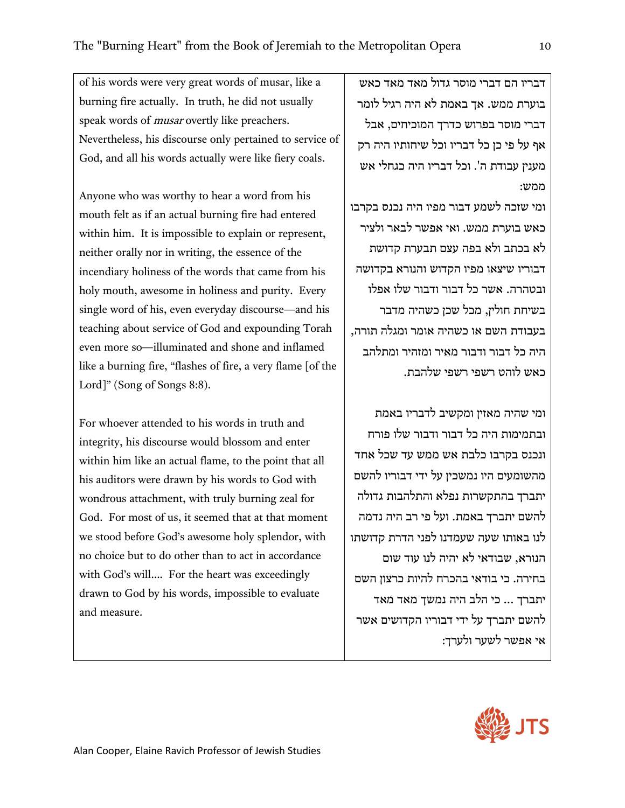of his words were very great words of musar, like a burning fire actually. In truth, he did not usually speak words of *musar* overtly like preachers. Nevertheless, his discourse only pertained to service of God, and all his words actually were like fiery coals.

Anyone who was worthy to hear a word from his mouth felt as if an actual burning fire had entered within him. It is impossible to explain or represent, neither orally nor in writing, the essence of the incendiary holiness of the words that came from his holy mouth, awesome in holiness and purity. Every single word of his, even everyday discourse—and his teaching about service of God and expounding Torah even more so—illuminated and shone and inflamed like a burning fire, "flashes of fire, a very flame [of the Lord]" (Song of Songs 8:8).

For whoever attended to his words in truth and integrity, his discourse would blossom and enter within him like an actual flame, to the point that all his auditors were drawn by his words to God with wondrous attachment, with truly burning zeal for God. For most of us, it seemed that at that moment we stood before God's awesome holy splendor, with no choice but to do other than to act in accordance with God's will…. For the heart was exceedingly drawn to God by his words, impossible to evaluate and measure.

דבריו הם דברי מוסר גדול מאד מאד כאש בוערת ממש. אך באמת לא היה רגיל לומר דברי מוסר בפרוש כדרך המוכיחים, אבל אף על פי כן כל דבריו וכל שיחותיו היה רק מענין עבודת ה'. וכל דבריו היה כגחלי אש ממש:

ומי שזכה לשמע דבור מפיו היה נכנס בקרבו כאש בוערת ממש. ואי אפשר לבאר ולציר לא בכתב ולא בפה עצם תבערת קדושת דבוריו שיצאו מפיו הקדוש והנורא בקדושה ובטהרה. אשר כל דבור ודבור שלו אפלו בשיחת חולין, מכל שכן כשהיה מדבר בעבודת השם או כשהיה אומר ומגלה תורה, היה כל דבור ודבור מאיר ומזהיר ומתלהב כאש לוהט רשפי רשפי שלהבת.

ומי שהיה מאזין ומקשיב לדבריו באמת ובתמימות היה כל דבור ודבור שלו פורח ונכנס בקרבו כלבת אש ממש עד שכל אחד מהשומעים היו נמשכין על ידי דבוריו להשם יתברך בהתקשרות נפלא והתלהבות גדולה להשם יתברך באמת. ועל פי רב היה נדמה לנו באותו שעה שעמדנו לפני הדרת קדושתו הנורא, שבודאי לא יהיה לנו עוד שום בחירה. כי בודאי בהכרח להיות כרצון השם יתברך ... כי הלב היה נמשך מאד מאד להשם יתברך על ידי דבוריו הקדושים אשר אי אפשר לשער ולערך: